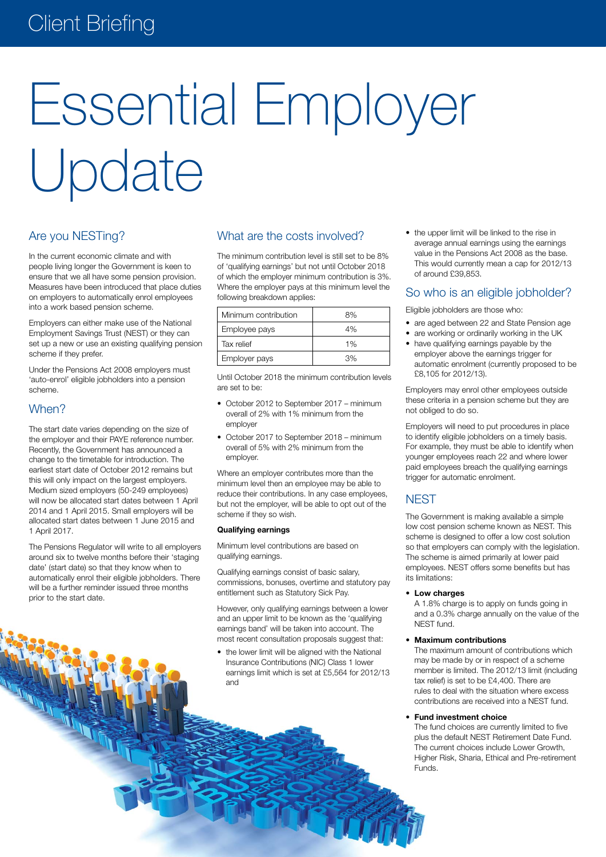# **Client Briefing**

# Essential Employer Update

# Are you NESTing?

In the current economic climate and with people living longer the Government is keen to ensure that we all have some pension provision. Measures have been introduced that place duties on employers to automatically enrol employees into a work based pension scheme.

Employers can either make use of the National Employment Savings Trust (NEST) or they can set up a new or use an existing qualifying pension scheme if they prefer.

Under the Pensions Act 2008 employers must 'auto-enrol' eligible jobholders into a pension scheme.

# When?

The start date varies depending on the size of the employer and their PAYE reference number. Recently, the Government has announced a change to the timetable for introduction. The earliest start date of October 2012 remains but this will only impact on the largest employers. Medium sized employers (50-249 employees) will now be allocated start dates between 1 April 2014 and 1 April 2015. Small employers will be allocated start dates between 1 June 2015 and 1 April 2017.

The Pensions Regulator will write to all employers around six to twelve months before their 'staging date' (start date) so that they know when to automatically enrol their eligible jobholders. There will be a further reminder issued three months prior to the start date.

# What are the costs involved?

The minimum contribution level is still set to be 8% of 'qualifying earnings' but not until October 2018 of which the employer minimum contribution is 3%. Where the employer pays at this minimum level the following breakdown applies:

| Minimum contribution | 8% |
|----------------------|----|
| Employee pays        | 4% |
| Tax relief           | 1% |
| Employer pays        | 3% |

Until October 2018 the minimum contribution levels are set to be:

- October 2012 to September 2017 minimum overall of 2% with 1% minimum from the employer
- October 2017 to September 2018 minimum overall of 5% with 2% minimum from the employer.

Where an employer contributes more than the minimum level then an employee may be able to reduce their contributions. In any case employees, but not the employer, will be able to opt out of the scheme if they so wish.

### **Qualifying earnings**

Minimum level contributions are based on qualifying earnings.

Qualifying earnings consist of basic salary, commissions, bonuses, overtime and statutory pay entitlement such as Statutory Sick Pay.

However, only qualifying earnings between a lower and an upper limit to be known as the 'qualifying earnings band' will be taken into account. The most recent consultation proposals suggest that:

• the lower limit will be aligned with the National Insurance Contributions (NIC) Class 1 lower earnings limit which is set at £5,564 for 2012/13 and

• the upper limit will be linked to the rise in average annual earnings using the earnings value in the Pensions Act 2008 as the base. This would currently mean a cap for 2012/13 of around £39,853.

# So who is an eligible jobholder?

Eligible jobholders are those who:

- are aged between 22 and State Pension age
- are working or ordinarily working in the UK
- have qualifying earnings payable by the employer above the earnings trigger for automatic enrolment (currently proposed to be £8,105 for 2012/13).

Employers may enrol other employees outside these criteria in a pension scheme but they are not obliged to do so.

Employers will need to put procedures in place to identify eligible jobholders on a timely basis. For example, they must be able to identify when younger employees reach 22 and where lower paid employees breach the qualifying earnings trigger for automatic enrolment.

# **NEST**

The Government is making available a simple low cost pension scheme known as NEST. This scheme is designed to offer a low cost solution so that employers can comply with the legislation. The scheme is aimed primarily at lower paid employees. NEST offers some benefits but has its limitations:

### **• Low charges**

A 1.8% charge is to apply on funds going in and a 0.3% charge annually on the value of the NEST fund.

## **• Maximum contributions**

The maximum amount of contributions which may be made by or in respect of a scheme member is limited. The 2012/13 limit (including tax relief) is set to be £4,400. There are rules to deal with the situation where excess contributions are received into a NEST fund.

### **• Fund investment choice**

The fund choices are currently limited to five plus the default NEST Retirement Date Fund. The current choices include Lower Growth, Higher Risk, Sharia, Ethical and Pre-retirement Funds.